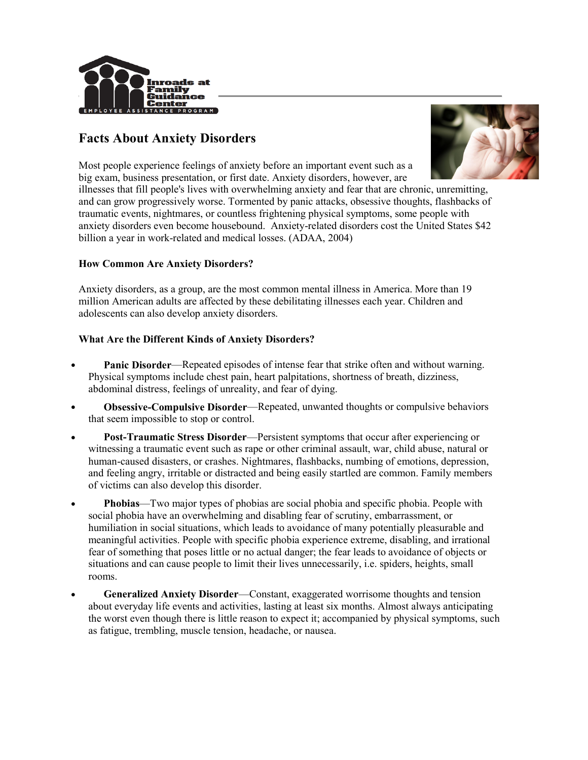

# Facts About Anxiety Disorders



Most people experience feelings of anxiety before an important event such as a big exam, business presentation, or first date. Anxiety disorders, however, are

illnesses that fill people's lives with overwhelming anxiety and fear that are chronic, unremitting, and can grow progressively worse. Tormented by panic attacks, obsessive thoughts, flashbacks of traumatic events, nightmares, or countless frightening physical symptoms, some people with anxiety disorders even become housebound. Anxiety-related disorders cost the United States \$42 billion a year in work-related and medical losses. (ADAA, 2004)

## How Common Are Anxiety Disorders?

Anxiety disorders, as a group, are the most common mental illness in America. More than 19 million American adults are affected by these debilitating illnesses each year. Children and adolescents can also develop anxiety disorders.

## What Are the Different Kinds of Anxiety Disorders?

- Panic Disorder—Repeated episodes of intense fear that strike often and without warning. Physical symptoms include chest pain, heart palpitations, shortness of breath, dizziness, abdominal distress, feelings of unreality, and fear of dying.
- Obsessive-Compulsive Disorder—Repeated, unwanted thoughts or compulsive behaviors that seem impossible to stop or control.
- Post-Traumatic Stress Disorder—Persistent symptoms that occur after experiencing or witnessing a traumatic event such as rape or other criminal assault, war, child abuse, natural or human-caused disasters, or crashes. Nightmares, flashbacks, numbing of emotions, depression, and feeling angry, irritable or distracted and being easily startled are common. Family members of victims can also develop this disorder.
- Phobias—Two major types of phobias are social phobia and specific phobia. People with social phobia have an overwhelming and disabling fear of scrutiny, embarrassment, or humiliation in social situations, which leads to avoidance of many potentially pleasurable and meaningful activities. People with specific phobia experience extreme, disabling, and irrational fear of something that poses little or no actual danger; the fear leads to avoidance of objects or situations and can cause people to limit their lives unnecessarily, i.e. spiders, heights, small rooms.
- Generalized Anxiety Disorder—Constant, exaggerated worrisome thoughts and tension about everyday life events and activities, lasting at least six months. Almost always anticipating the worst even though there is little reason to expect it; accompanied by physical symptoms, such as fatigue, trembling, muscle tension, headache, or nausea.